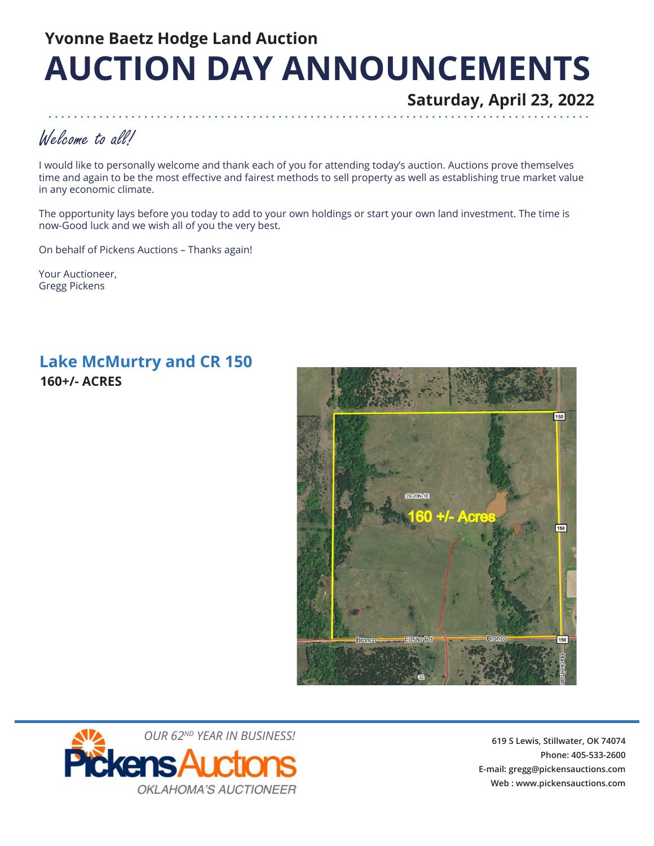# **Yvonne Baetz Hodge Land Auction AUCTION DAY ANNOUNCEMENTS**

**Saturday, April 23, 2022**

## Welcome to all!

I would like to personally welcome and thank each of you for attending today's auction. Auctions prove themselves time and again to be the most effective and fairest methods to sell property as well as establishing true market value in any economic climate.

The opportunity lays before you today to add to your own holdings or start your own land investment. The time is now-Good luck and we wish all of you the very best.

On behalf of Pickens Auctions – Thanks again!

Your Auctioneer, Gregg Pickens

### **160+/- ACRES Lake McMurtry and CR 150**





**619 S Lewis, Stillwater, OK 74074 Phone: 405-533-2600 E-mail: gregg@pickensauctions.com Web : www.pickensauctions.com**